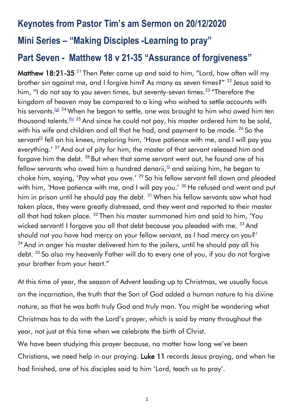# **Keynotes from Pastor Tim's am Sermon on 20/12/2020 Mini Series – "Making Disciples -Learning to pray"**

# **Part Seven - Matthew 18 v 21-35 "Assurance of forgiveness"**

**Matthew 18:21-35**  $^{21}$  Then Peter came up and said to him, "Lord, how often will my brother sin against me, and I forgive him? As many as seven times?" <sup>22</sup> Jesus said to him, "I do not say to you seven times, but seventy-seven times.<sup>23</sup> "Therefore the kingdom of heaven may be compared to a king who wished to settle accounts with his servants.[\[g\]](https://www.biblegateway.com/passage/?search=Matthew+18&version=ESV#fen-ESV-23748g) <sup>24</sup> When he began to settle, one was brought to him who owed him ten thousand talents.<sup>[\[h\]](https://www.biblegateway.com/passage/?search=Matthew+18&version=ESV#fen-ESV-23749h) 25</sup> And since he could not pay, his master ordered him to be sold, with his wife and children and all that he had, and payment to be made. <sup>26</sup> So the servant<sup>[\[i\]](https://www.biblegateway.com/passage/?search=Matthew+18&version=ESV#fen-ESV-23751i)</sup> fell on his knees, imploring him, 'Have patience with me, and I will pay you everything.' <sup>27</sup> And out of pity for him, the master of that servant released him and forgave him the debt. <sup>28</sup> But when that same servant went out, he found one of his fellow servants who owed him a hundred denarii, $\mathbb{I}$  and seizing him, he began to choke him, saying, 'Pay what you owe.' <sup>29</sup> So his fellow servant fell down and pleaded with him, 'Have patience with me, and I will pay you.' <sup>30</sup> He refused and went and put him in prison until he should pay the debt. <sup>31</sup> When his fellow servants saw what had taken place, they were greatly distressed, and they went and reported to their master all that had taken place. <sup>32</sup> Then his master summoned him and said to him, 'You wicked servant! I forgave you all that debt because you pleaded with me. <sup>33</sup> And should not you have had mercy on your fellow servant, as I had mercy on you?'  $34$  And in anger his master delivered him to the jailers, until he should pay all his debt. <sup>35</sup> So also my heavenly Father will do to every one of you, if you do not forgive your brother from your heart."

At this time of year, the season of Advent leading up to Christmas, we usually focus on the incarnation, the truth that the Son of God added a human nature to his divine nature, so that he was both truly God and truly man. You might be wondering what Christmas has to do with the Lord's prayer, which is said by many throughout the year, not just at this time when we celebrate the birth of Christ.

We have been studying this prayer because, no matter how long we've been Christians, we need help in our praying. Luke 11 records Jesus praying, and when he had finished, one of his disciples said to him 'Lord, teach us to pray'.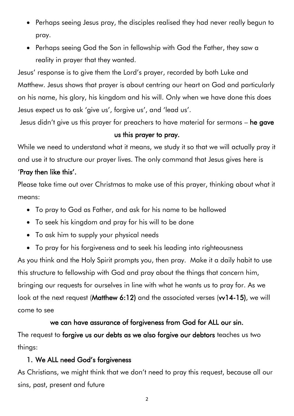- Perhaps seeing Jesus pray, the disciples realised they had never really begun to pray.
- Perhaps seeing God the Son in fellowship with God the Father, they saw a reality in prayer that they wanted.

Jesus' response is to give them the Lord's prayer, recorded by both Luke and Matthew. Jesus shows that prayer is about centring our heart on God and particularly on his name, his glory, his kingdom and his will. Only when we have done this does Jesus expect us to ask 'give us', forgive us', and 'lead us'.

Jesus didn't give us this prayer for preachers to have material for sermons – he gave

#### us this prayer to pray.

While we need to understand what it means, we study it so that we will actually pray it and use it to structure our prayer lives. The only command that Jesus gives here is

#### 'Pray then like this'.

Please take time out over Christmas to make use of this prayer, thinking about what it means:

- To pray to God as Father, and ask for his name to be hallowed
- To seek his kingdom and pray for his will to be done
- To ask him to supply your physical needs
- To pray for his forgiveness and to seek his leading into righteousness

As you think and the Holy Spirit prompts you, then pray. Make it a daily habit to use this structure to fellowship with God and pray about the things that concern him, bringing our requests for ourselves in line with what he wants us to pray for. As we look at the next request (Matthew 6:12) and the associated verses (w14-15), we will come to see

# we can have assurance of forgiveness from God for ALL our sin.

The request to forgive us our debts as we also forgive our debtors teaches us two things:

#### 1. We ALL need God's forgiveness

As Christians, we might think that we don't need to pray this request, because all our sins, past, present and future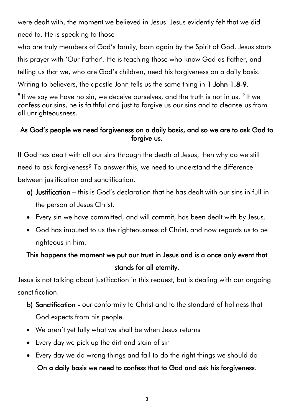were dealt with, the moment we believed in Jesus. Jesus evidently felt that we did need to. He is speaking to those

who are truly members of God's family, born again by the Spirit of God. Jesus starts this prayer with 'Our Father'. He is teaching those who know God as Father, and telling us that we, who are God's children, need his forgiveness on a daily basis.

Writing to believers, the apostle John tells us the same thing in 1 John 1:8-9.

 $^8$  If we say we have no sin, we deceive ourselves, and the truth is not in us.  $^9$  If we confess our sins, he is faithful and just to forgive us our sins and to cleanse us from all unrighteousness.

#### As God's people we need forgiveness on a daily basis, and so we are to ask God to forgive us.

If God has dealt with all our sins through the death of Jesus, then why do we still need to ask forgiveness? To answer this, we need to understand the difference between justification and sanctification.

- a) Justification this is God's declaration that he has dealt with our sins in full in the person of Jesus Christ.
- Every sin we have committed, and will commit, has been dealt with by Jesus.
- God has imputed to us the righteousness of Christ, and now regards us to be righteous in him.

# This happens the moment we put our trust in Jesus and is a once only event that stands for all eternity.

Jesus is not talking about justification in this request, but is dealing with our ongoing sanctification.

- b) Sanctification our conformity to Christ and to the standard of holiness that God expects from his people.
- We aren't yet fully what we shall be when Jesus returns
- Every day we pick up the dirt and stain of sin
- Every day we do wrong things and fail to do the right things we should do

#### On a daily basis we need to confess that to God and ask his forgiveness.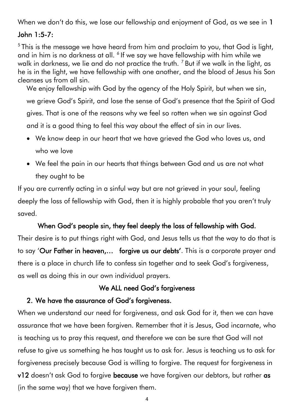When we don't do this, we lose our fellowship and enjoyment of God, as we see in 1

#### John 1:5-7:

<sup>5</sup>This is the message we have heard from him and proclaim to you, that God is light, and in him is no darkness at all. <sup>6</sup> If we say we have fellowship with him while we walk in darkness, we lie and do not practice the truth.  $7$  But if we walk in the light, as he is in the light, we have fellowship with one another, and the blood of Jesus his Son cleanses us from all sin.

We enjoy fellowship with God by the agency of the Holy Spirit, but when we sin, we grieve God's Spirit, and lose the sense of God's presence that the Spirit of God gives. That is one of the reasons why we feel so rotten when we sin against God and it is a good thing to feel this way about the effect of sin in our lives.

- We know deep in our heart that we have grieved the God who loves us, and who we love
- We feel the pain in our hearts that things between God and us are not what they ought to be

If you are currently acting in a sinful way but are not grieved in your soul, feeling deeply the loss of fellowship with God, then it is highly probable that you aren't truly saved.

#### When God's people sin, they feel deeply the loss of fellowship with God.

Their desire is to put things right with God, and Jesus tells us that the way to do that is to say 'Our Father in heaven,… forgive us our debts'. This is a corporate prayer and there is a place in church life to confess sin together and to seek God's forgiveness, as well as doing this in our own individual prayers.

#### We ALL need God's forgiveness

#### 2. We have the assurance of God's forgiveness.

When we understand our need for forgiveness, and ask God for it, then we can have assurance that we have been forgiven. Remember that it is Jesus, God incarnate, who is teaching us to pray this request, and therefore we can be sure that God will not refuse to give us something he has taught us to ask for. Jesus is teaching us to ask for forgiveness precisely because God is willing to forgive. The request for forgiveness in v12 doesn't ask God to forgive because we have forgiven our debtors, but rather as (in the same way) that we have forgiven them.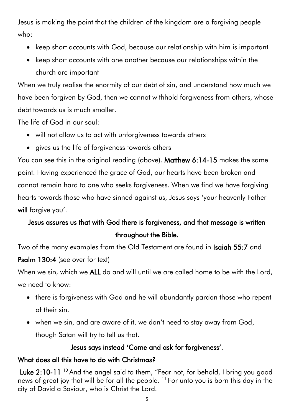Jesus is making the point that the children of the kingdom are a forgiving people who:

- keep short accounts with God, because our relationship with him is important
- keep short accounts with one another because our relationships within the church are important

When we truly realise the enormity of our debt of sin, and understand how much we have been forgiven by God, then we cannot withhold forgiveness from others, whose debt towards us is much smaller.

The life of God in our soul:

- will not allow us to act with unforgiveness towards others
- gives us the life of forgiveness towards others

You can see this in the original reading (above). Matthew 6:14-15 makes the same point. Having experienced the grace of God, our hearts have been broken and cannot remain hard to one who seeks forgiveness. When we find we have forgiving hearts towards those who have sinned against us, Jesus says 'your heavenly Father will forgive you'.

# Jesus assures us that with God there is forgiveness, and that message is written throughout the Bible.

Two of the many examples from the Old Testament are found in Isaiah 55:7 and Psalm 130:4 (see over for text)

When we sin, which we ALL do and will until we are called home to be with the Lord, we need to know:

- there is forgiveness with God and he will abundantly pardon those who repent of their sin.
- when we sin, and are aware of it, we don't need to stay away from God, though Satan will try to tell us that.

#### Jesus says instead 'Come and ask for forgiveness'.

### What does all this have to do with Christmas?

Luke  $2:10$ -11  $^{10}$  And the angel said to them, "Fear not, for behold, I bring you good news of great joy that will be for all the people. <sup>11</sup> For unto you is born this day in the city of David a Saviour, who is Christ the Lord.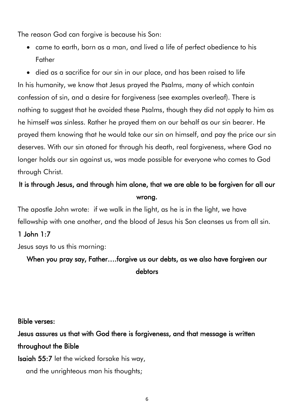The reason God can forgive is because his Son:

• came to earth, born as a man, and lived a life of perfect obedience to his Father

• died as a sacrifice for our sin in our place, and has been raised to life In his humanity, we know that Jesus prayed the Psalms, many of which contain confession of sin, and a desire for forgiveness (see examples overleaf). There is nothing to suggest that he avoided these Psalms, though they did not apply to him as he himself was sinless. Rather he prayed them on our behalf as our sin bearer. He prayed them knowing that he would take our sin on himself, and pay the price our sin deserves. With our sin atoned for through his death, real forgiveness, where God no longer holds our sin against us, was made possible for everyone who comes to God through Christ.

### It is through Jesus, and through him alone, that we are able to be forgiven for all our wrong.

The apostle John wrote: if we walk in the light, as he is in the light, we have fellowship with one another, and the blood of Jesus his Son cleanses us from all sin.

#### 1 John 1:7

Jesus says to us this morning:

When you pray say, Father….forgive us our debts, as we also have forgiven our debtors

Bible verses:

Jesus assures us that with God there is forgiveness, and that message is written throughout the Bible

Isaiah 55:7 let the wicked forsake his way,

and the unrighteous man his thoughts;